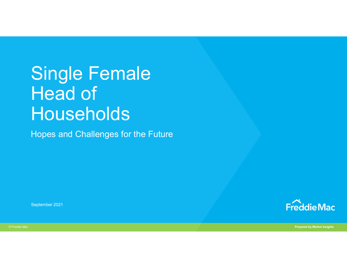# Single Female Head of Households

Hopes and Challenges for the Future

September 2021



© Freddie Mac Prepared by Market Insights and The Control of the Control of the Control of the Prepared by Market Insights and The Prepared by Market Insights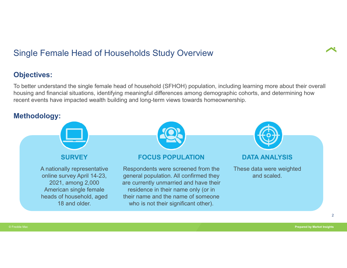# Single Female Head of Households Study Overview

#### Objectives:

To better understand the single female head of household (SFHOH) population, including learning more about their overall housing and financial situations, identifying meaningful differences among demographic cohorts, and determining how recent events have impacted wealth building and long-term views towards homeownership.

#### Methodology:

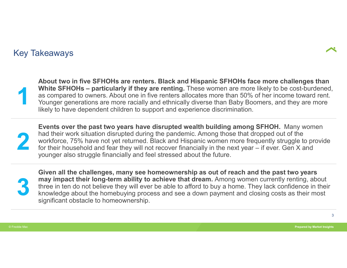#### Key Takeaways



White SFHOHs – passed to own<br>as compared to own<br>Younger generations About two in five SFHOHs are renters. Black and Hispanic SFHOHs face more challenges than A<br>Whout two in five SFHOHs are renters. Black and Hispanic SFHOHs face more challenges than<br>White SFHOHs – particularly if they are renting. These women are more likely to be cost-burdened,<br>as compared to owners. About one as compared to owners. About one in five renters allocates more than 50% of her income toward rent. Younger generations are more racially and ethnically diverse than Baby Boomers, and they are more likely to have dependent children to support and experience discrimination. **About two in five SFHOHs are renters. Black and Hispanic SFHOHs face more challenges than White SFHOHs – particularly if they are renting.** These women are more likely to be cost-burdened, Younger generations are more rac

had their work situation disrupted during the pandemic. Among those that dropped out of the<br>workforce, 75% have not yet returned. Black and Hispanic women more frequently struggle to provide<br>for their household and fear th Events over the past two years have disrupted wealth building among SFHOH. Many women workforce, 75% have not yet returned. Black and Hispanic women more frequently struggle to provide younger also struggle financially and feel stressed about the future.



may impact their long-term ability to achieve that dream. Among women currently renting, about<br>three in ten do not believe they will ever be able to afford to buy a home. They lack confidence in their<br>knowledge about the h Given all the challenges, many see homeownership as out of reach and the past two years three in ten do not believe they will ever be able to afford to buy a home. They lack confidence in their knowledge about the homebuying process and see a down payment and closing costs as their most significant obstacle to homeownership.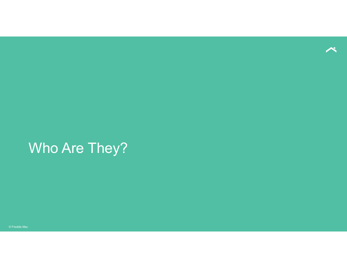

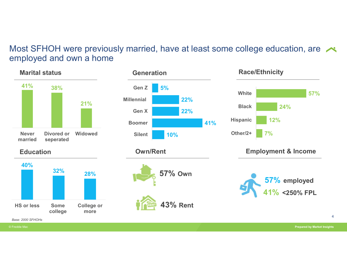### Most SFHOH were previously married, have at least some college education, are employed and own a home

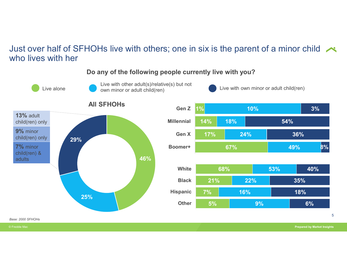#### Just over half of SFHOHs live with others; one in six is the parent of a minor child  $\sim$ who lives with her



#### Do any of the following people currently live with you?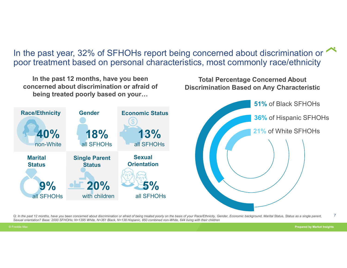In the past year, 32% of SFHOHs report being concerned about discrimination or poor treatment based on personal characteristics, most commonly race/ethnicity

In the past 12 months, have you been concerned about discrimination or afraid of being treated poorly based on your… Race/Ethnicity Gender Economic Status 18% 18% 13% non-White all SFHOHs all SFHOHs all SFHOHs 13% 9% <u>oli 20% 20% 5% all providence</u> all SFHOHs with children all SFHOHs 5% all SFHOHs Marital Status Status Single Parent Sexual **Orientation** Total Percentage Concerned About Discrimination Based on Any Characteristic Race/Ethnicity Gender Economic Status<br> **40%** 18% of Hispanic SFHOHs<br>
Marital Single Parent Sexual<br>
Status Status of being treated poorly of the Basis of the basis of your Race, and a single parent, and the basis of the bas 51% of Black SFHOHs 36% of Hispanic SFHOHs 21% of White SFHOHs

7 Sexual orientation? Base: 2000 SFHOHs; N=1395 White, N=361 Black, N=138 Hispanic, 850 combined non-White, 644 living with their children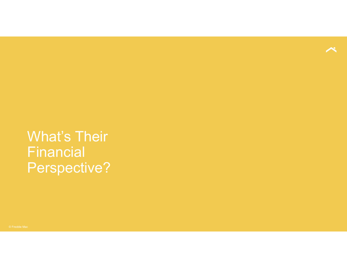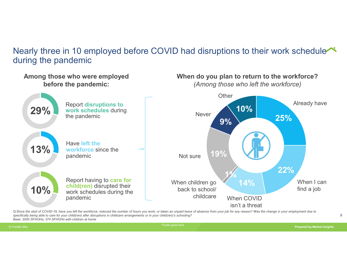## Nearly three in 10 employed before COVID had disruptions to their work schedule during the pandemic



Q:Since the start of COVID-19, have you left the workforce, reduced the number of hours you work, or taken an unpaid leave of absence from your job for any reason? Was the change in your employment due to<br>specifically bein specifically being able to care for your child(ren) after disruptions in childcare arrangements or in your child(ren)'s schooling? Base: 2000 SFHOHs; 374 SFHOHs with children at home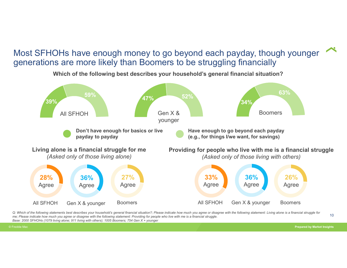### Most SFHOHs have enough money to go beyond each payday, though younger generations are more likely than Boomers to be struggling financially



Which of the following best describes your household's general financial situation?

Q: Which of the following statements best describes your household's general financial situation?; Please indicate how much you agree or disagree with the following statement: Living alone is a financial struggle for<br>The s me; Please indicate how much you agree or disagree with the following statement: Providing for people who live with me is a financial struggle. Base: 2000 SFHOHs (1079 living alone; 911 living with others); 1005 Boomers; 754 Gen X + younger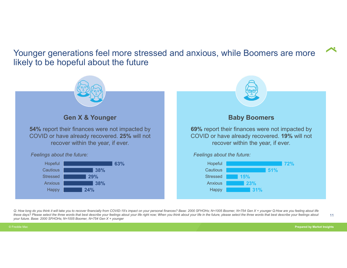Younger generations feel more stressed and anxious, while Boomers are more likely to be hopeful about the future



Q: How long do you think it will take you to recover financially from COVID-19's impact on your personal finances? Base: 2000 SFHOHs; N=1005 Boomer, N=754 Gen X + younger Q:How are you feeling about life these days? Please select the three words that best describe your feelings about your life right now; When you think about your life in the future, please select the three words that best describe your feelings about 11 your future. Base: 2000 SFHOHs; N=1005 Boomer, N=754 Gen X + younger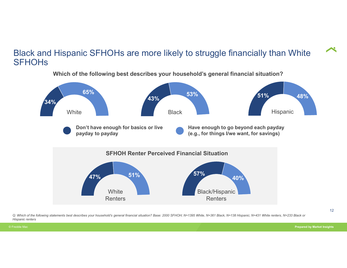#### Black and Hispanic SFHOHs are more likely to struggle financially than White **SFHOHs**



Which of the following best describes your household's general financial situation?

Q: Which of the following statements best describes your household's general financial situation? Base: 2000 SFHOH; N=1395 White, N=361 Black, N=138 Hispanic; N=431 White renters, N=233 Black or Hispanic renters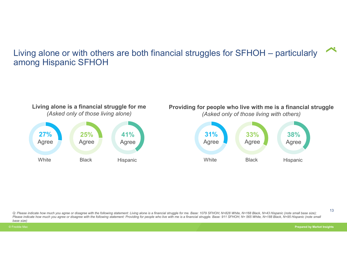# Living alone or with others are both financial struggles for SFHOH – particularly  $\sim$ among Hispanic SFHOH



Q: Please indicate how much you agree or disagree with the following statement: Living alone is a financial struggle for me. Base: 1079 SFHOH; N=828 White, N=168 Black, N=43 Hispanic (note small base size); Please indicate how much you agree or disagree with the following statement: Providing for people who live with me is a financial struggle. Base: 911 SFHOH; N= 565 White, N=188 Black, N=95 Hispanic (note small base size)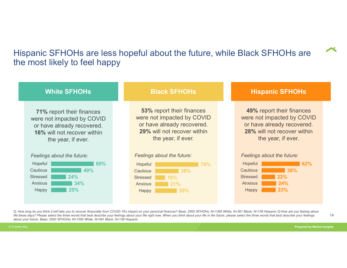# Hispanic SFHOHs are less hopeful about the future, while Black SFHOHs are the most likely to feel happy

| Hispanic SFHOHs are less hopeful about the future, while Black SFHOHs are<br>the most likely to feel happy                                               |                                                                                                                                            |                                                                                                                                            |  |
|----------------------------------------------------------------------------------------------------------------------------------------------------------|--------------------------------------------------------------------------------------------------------------------------------------------|--------------------------------------------------------------------------------------------------------------------------------------------|--|
| <b>White SFHOHs</b>                                                                                                                                      | <b>Black SFHOHs</b>                                                                                                                        | <b>Hispanic SFHOHs</b>                                                                                                                     |  |
| <b>71% report their finances</b><br>were not impacted by COVID<br>or have already recovered.<br><b>16% will not recover within</b><br>the year, if ever. | 53% report their finances<br>were not impacted by COVID<br>or have already recovered.<br>29% will not recover within<br>the year, if ever. | 49% report their finances<br>were not impacted by COVID<br>or have already recovered.<br>28% will not recover within<br>the year, if ever. |  |
| Feelings about the future:<br>Hopeful<br>69%<br>49%<br>Cautious<br>24%<br><b>Stressed</b><br>Anxious<br>34%<br>25%<br>Happy                              | Feelings about the future:<br>Hopeful<br><b>70%</b><br>38%<br>Cautious<br>16%<br><b>Stressed</b><br>Anxious<br>21%<br>35%<br>Happy         | Feelings about the future:<br>62%<br>Hopeful<br>38%<br>Cautious<br>22%<br><b>Stressed</b><br>Anxious<br>24%<br>23%<br>Happy                |  |

Q: How long do you think it will take you to recover financially from COVID-19's impact on your personal finances? Base: 2000 SFHOHs; N=1395 White, N=361 Black, N=138 Hispanic Q:How are you feeling about 14<br>Iife these days life these days? Please select the three words that best describe your feelings about your life right now; When you think about your life in the future, please select the three words that best describe your feelings about your future. Base: 2000 SFHOHs; N=1395 White, N=361 Black, N=138 Hispanic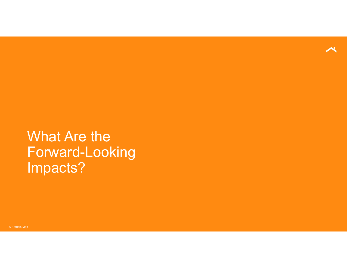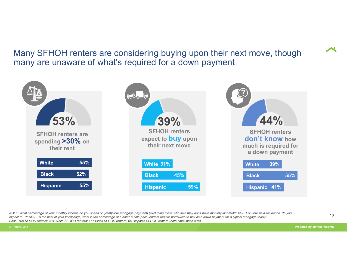### Many SFHOH renters are considering buying upon their next move, though many are unaware of what's required for a down payment



AQ15. What percentage of your monthly income do you spend on [rent][your mortgage payment] (excluding those who said they don't have monthly income)?; AQ8. For your next residence, do you<br>are at the source of the hard of y Base: 700 SFHOH renters; 431 White SFHOH renters; 167 Black SFHOH renters; 66 Hispanic SFHOH renters (note small base size)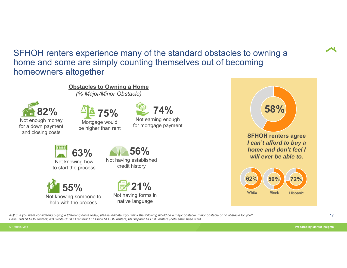SFHOH renters experience many of the standard obstacles to owning a home and some are simply counting themselves out of becoming homeowners altogether s experience many of the standard obstacles<br>
ie are simply counting themselves out of because<br>
altogether<br>
Obstacles to Owning a Home<br>
(% Major/Minor Obstacle)<br>  $\frac{\sqrt{2}}{2}$  75%<br>  $\sqrt{2}$  74%

Not enough money for a down payment and closing costs  $82\%$   $42\%$  75%  $274\%$ (% Major/Minor Obstacle)



Mortgage would be higher than rent



Not earning enough for mortgage payment



Not knowing how to start the process



Not knowing someone to help with the process

Not having established credit history





AQ13. If you were considering buying a [different] home today, please indicate if you think the following would be a major obstacle, minor obstacle or no obstacle for you? Base: 700 SFHOH renters; 431 White SFHOH renters; 167 Black SFHOH renters; 66 Hispanic SFHOH renters (note small base size)